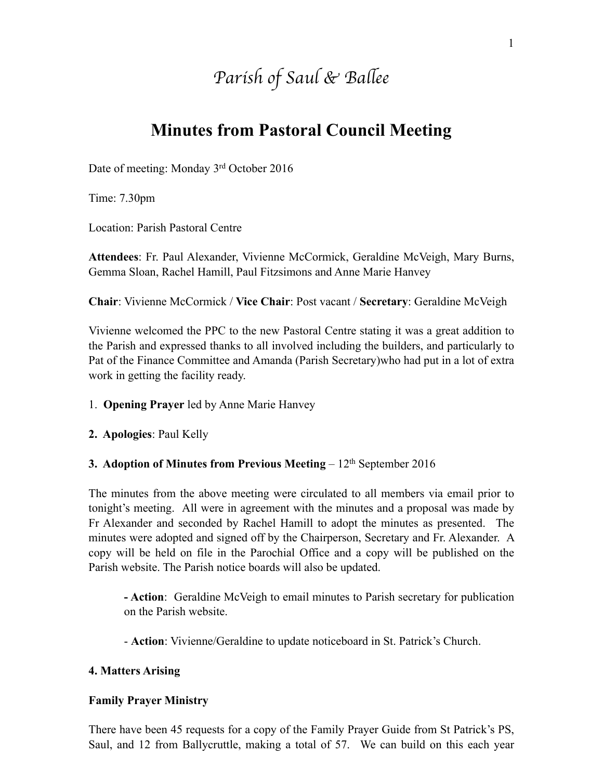# *Parish of Saul & Ba*l*ee*

# **Minutes from Pastoral Council Meeting**

Date of meeting: Monday 3rd October 2016

Time: 7.30pm

Location: Parish Pastoral Centre

**Attendees**: Fr. Paul Alexander, Vivienne McCormick, Geraldine McVeigh, Mary Burns, Gemma Sloan, Rachel Hamill, Paul Fitzsimons and Anne Marie Hanvey

**Chair**: Vivienne McCormick / **Vice Chair**: Post vacant / **Secretary**: Geraldine McVeigh

Vivienne welcomed the PPC to the new Pastoral Centre stating it was a great addition to the Parish and expressed thanks to all involved including the builders, and particularly to Pat of the Finance Committee and Amanda (Parish Secretary)who had put in a lot of extra work in getting the facility ready.

1. **Opening Prayer** led by Anne Marie Hanvey

**2. Apologies**: Paul Kelly

#### **3. Adoption of Minutes from Previous Meeting** – 12<sup>th</sup> September 2016

The minutes from the above meeting were circulated to all members via email prior to tonight's meeting. All were in agreement with the minutes and a proposal was made by Fr Alexander and seconded by Rachel Hamill to adopt the minutes as presented. The minutes were adopted and signed off by the Chairperson, Secretary and Fr. Alexander. A copy will be held on file in the Parochial Office and a copy will be published on the Parish website. The Parish notice boards will also be updated.

**- Action**: Geraldine McVeigh to email minutes to Parish secretary for publication on the Parish website.

- **Action**: Vivienne/Geraldine to update noticeboard in St. Patrick's Church.

#### **4. Matters Arising**

#### **Family Prayer Ministry**

There have been 45 requests for a copy of the Family Prayer Guide from St Patrick's PS, Saul, and 12 from Ballycruttle, making a total of 57. We can build on this each year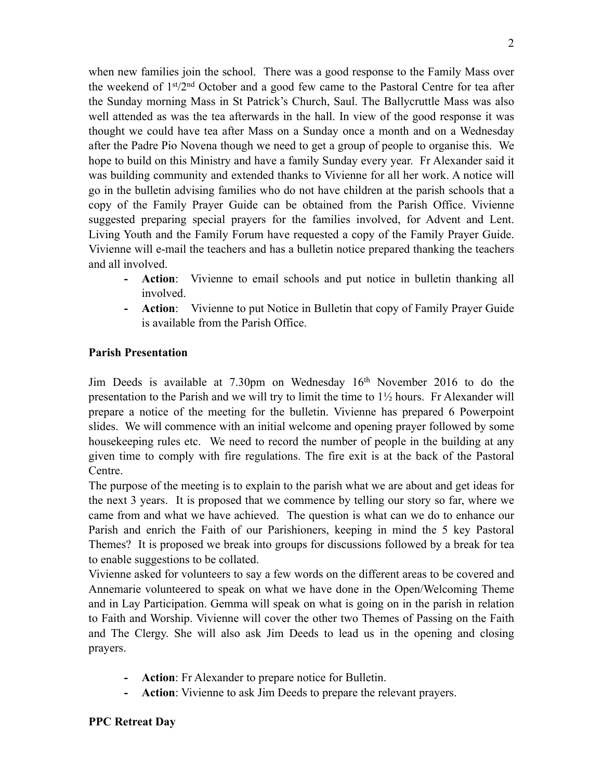when new families join the school. There was a good response to the Family Mass over the weekend of 1st/2nd October and a good few came to the Pastoral Centre for tea after the Sunday morning Mass in St Patrick's Church, Saul. The Ballycruttle Mass was also well attended as was the tea afterwards in the hall. In view of the good response it was thought we could have tea after Mass on a Sunday once a month and on a Wednesday after the Padre Pio Novena though we need to get a group of people to organise this. We hope to build on this Ministry and have a family Sunday every year. Fr Alexander said it was building community and extended thanks to Vivienne for all her work. A notice will go in the bulletin advising families who do not have children at the parish schools that a copy of the Family Prayer Guide can be obtained from the Parish Office. Vivienne suggested preparing special prayers for the families involved, for Advent and Lent. Living Youth and the Family Forum have requested a copy of the Family Prayer Guide. Vivienne will e-mail the teachers and has a bulletin notice prepared thanking the teachers and all involved.

- **- Action**: Vivienne to email schools and put notice in bulletin thanking all involved.
- **- Action**: Vivienne to put Notice in Bulletin that copy of Family Prayer Guide is available from the Parish Office.

#### **Parish Presentation**

Jim Deeds is available at 7.30pm on Wednesday 16th November 2016 to do the presentation to the Parish and we will try to limit the time to 1½ hours. Fr Alexander will prepare a notice of the meeting for the bulletin. Vivienne has prepared 6 Powerpoint slides. We will commence with an initial welcome and opening prayer followed by some housekeeping rules etc. We need to record the number of people in the building at any given time to comply with fire regulations. The fire exit is at the back of the Pastoral Centre.

The purpose of the meeting is to explain to the parish what we are about and get ideas for the next 3 years. It is proposed that we commence by telling our story so far, where we came from and what we have achieved. The question is what can we do to enhance our Parish and enrich the Faith of our Parishioners, keeping in mind the 5 key Pastoral Themes? It is proposed we break into groups for discussions followed by a break for tea to enable suggestions to be collated.

Vivienne asked for volunteers to say a few words on the different areas to be covered and Annemarie volunteered to speak on what we have done in the Open/Welcoming Theme and in Lay Participation. Gemma will speak on what is going on in the parish in relation to Faith and Worship. Vivienne will cover the other two Themes of Passing on the Faith and The Clergy. She will also ask Jim Deeds to lead us in the opening and closing prayers.

- **- Action**: Fr Alexander to prepare notice for Bulletin.
- **- Action**: Vivienne to ask Jim Deeds to prepare the relevant prayers.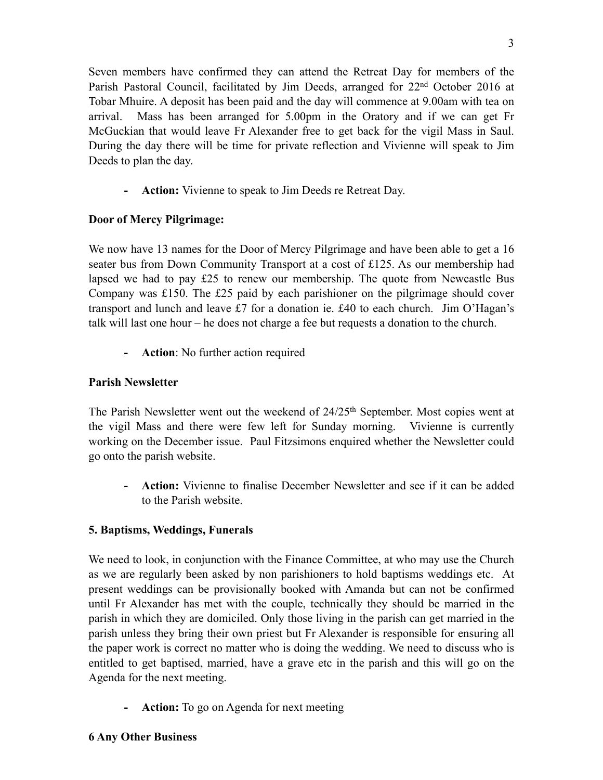Seven members have confirmed they can attend the Retreat Day for members of the Parish Pastoral Council, facilitated by Jim Deeds, arranged for 22<sup>nd</sup> October 2016 at Tobar Mhuire. A deposit has been paid and the day will commence at 9.00am with tea on arrival. Mass has been arranged for 5.00pm in the Oratory and if we can get Fr McGuckian that would leave Fr Alexander free to get back for the vigil Mass in Saul. During the day there will be time for private reflection and Vivienne will speak to Jim Deeds to plan the day.

**- Action:** Vivienne to speak to Jim Deeds re Retreat Day.

# **Door of Mercy Pilgrimage:**

We now have 13 names for the Door of Mercy Pilgrimage and have been able to get a 16 seater bus from Down Community Transport at a cost of £125. As our membership had lapsed we had to pay £25 to renew our membership. The quote from Newcastle Bus Company was £150. The £25 paid by each parishioner on the pilgrimage should cover transport and lunch and leave £7 for a donation ie. £40 to each church. Jim O'Hagan's talk will last one hour – he does not charge a fee but requests a donation to the church.

**- Action**: No further action required

# **Parish Newsletter**

The Parish Newsletter went out the weekend of 24/25<sup>th</sup> September. Most copies went at the vigil Mass and there were few left for Sunday morning. Vivienne is currently working on the December issue. Paul Fitzsimons enquired whether the Newsletter could go onto the parish website.

**- Action:** Vivienne to finalise December Newsletter and see if it can be added to the Parish website.

#### **5. Baptisms, Weddings, Funerals**

We need to look, in conjunction with the Finance Committee, at who may use the Church as we are regularly been asked by non parishioners to hold baptisms weddings etc. At present weddings can be provisionally booked with Amanda but can not be confirmed until Fr Alexander has met with the couple, technically they should be married in the parish in which they are domiciled. Only those living in the parish can get married in the parish unless they bring their own priest but Fr Alexander is responsible for ensuring all the paper work is correct no matter who is doing the wedding. We need to discuss who is entitled to get baptised, married, have a grave etc in the parish and this will go on the Agenda for the next meeting.

**- Action:** To go on Agenda for next meeting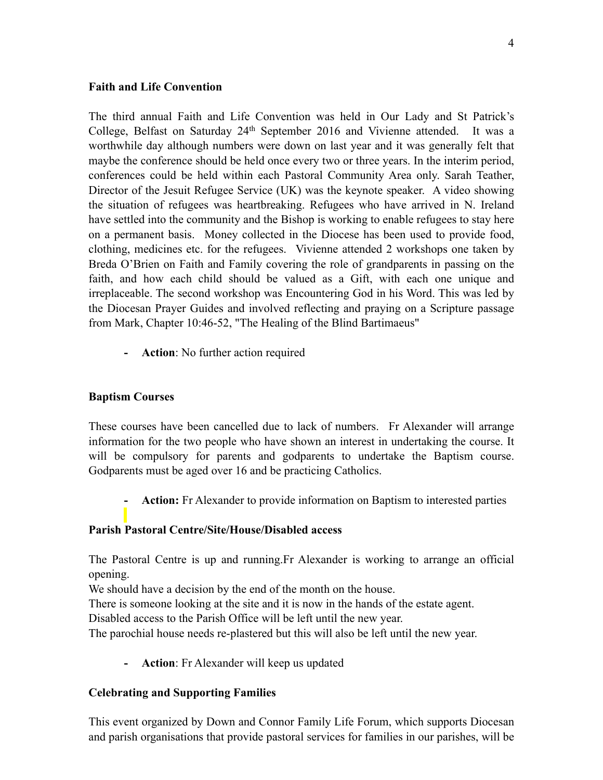#### **Faith and Life Convention**

The third annual Faith and Life Convention was held in Our Lady and St Patrick's College, Belfast on Saturday 24<sup>th</sup> September 2016 and Vivienne attended. It was a worthwhile day although numbers were down on last year and it was generally felt that maybe the conference should be held once every two or three years. In the interim period, conferences could be held within each Pastoral Community Area only. Sarah Teather, Director of the Jesuit Refugee Service (UK) was the keynote speaker. A video showing the situation of refugees was heartbreaking. Refugees who have arrived in N. Ireland have settled into the community and the Bishop is working to enable refugees to stay here on a permanent basis. Money collected in the Diocese has been used to provide food, clothing, medicines etc. for the refugees. Vivienne attended 2 workshops one taken by Breda O'Brien on Faith and Family covering the role of grandparents in passing on the faith, and how each child should be valued as a Gift, with each one unique and irreplaceable. The second workshop was Encountering God in his Word. This was led by the Diocesan Prayer Guides and involved reflecting and praying on a Scripture passage from Mark, Chapter 10:46-52, "The Healing of the Blind Bartimaeus"

**- Action**: No further action required

#### **Baptism Courses**

These courses have been cancelled due to lack of numbers. Fr Alexander will arrange information for the two people who have shown an interest in undertaking the course. It will be compulsory for parents and godparents to undertake the Baptism course. Godparents must be aged over 16 and be practicing Catholics.

**- Action:** Fr Alexander to provide information on Baptism to interested parties

#### **Parish Pastoral Centre/Site/House/Disabled access**

The Pastoral Centre is up and running.Fr Alexander is working to arrange an official opening.

We should have a decision by the end of the month on the house.

There is someone looking at the site and it is now in the hands of the estate agent.

Disabled access to the Parish Office will be left until the new year.

The parochial house needs re-plastered but this will also be left until the new year.

**- Action**: Fr Alexander will keep us updated

#### **Celebrating and Supporting Families**

This event organized by Down and Connor Family Life Forum, which supports Diocesan and parish organisations that provide pastoral services for families in our parishes, will be